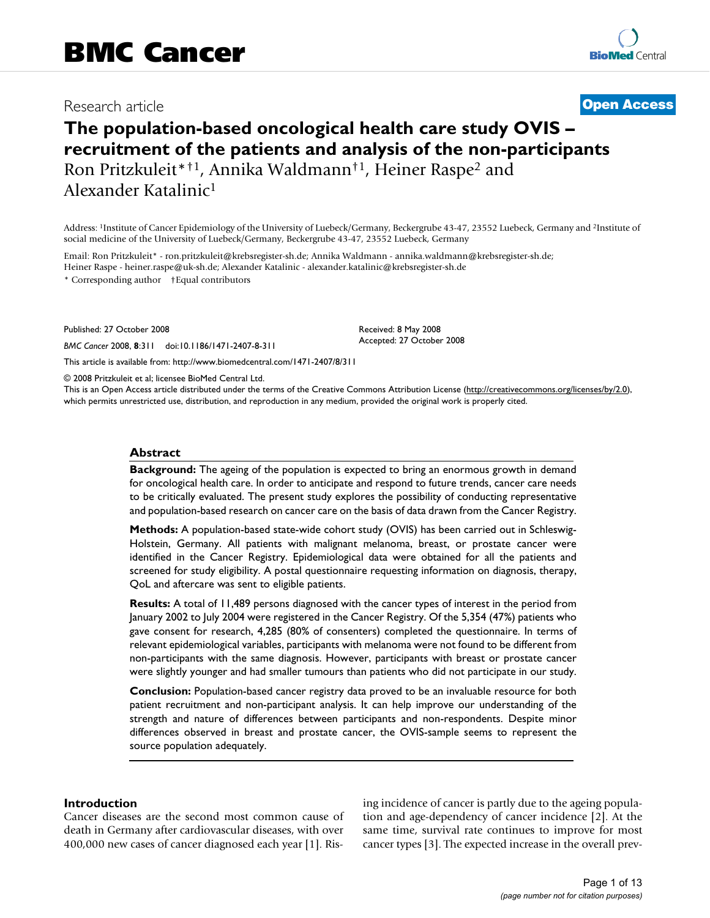# Research article **[Open Access](http://www.biomedcentral.com/info/about/charter/)**

# **The population-based oncological health care study OVIS – recruitment of the patients and analysis of the non-participants** Ron Pritzkuleit\*†1, Annika Waldmann†1, Heiner Raspe2 and Alexander Katalinic1

Address: 1Institute of Cancer Epidemiology of the University of Luebeck/Germany, Beckergrube 43-47, 23552 Luebeck, Germany and 2Institute of social medicine of the University of Luebeck/Germany, Beckergrube 43-47, 23552 Luebeck, Germany

Email: Ron Pritzkuleit\* - ron.pritzkuleit@krebsregister-sh.de; Annika Waldmann - annika.waldmann@krebsregister-sh.de;

Heiner Raspe - heiner.raspe@uk-sh.de; Alexander Katalinic - alexander.katalinic@krebsregister-sh.de

\* Corresponding author †Equal contributors

Published: 27 October 2008

*BMC Cancer* 2008, **8**:311 doi:10.1186/1471-2407-8-311

[This article is available from: http://www.biomedcentral.com/1471-2407/8/311](http://www.biomedcentral.com/1471-2407/8/311)

© 2008 Pritzkuleit et al; licensee BioMed Central Ltd.

This is an Open Access article distributed under the terms of the Creative Commons Attribution License [\(http://creativecommons.org/licenses/by/2.0\)](http://creativecommons.org/licenses/by/2.0), which permits unrestricted use, distribution, and reproduction in any medium, provided the original work is properly cited.

Received: 8 May 2008 Accepted: 27 October 2008

#### **Abstract**

**Background:** The ageing of the population is expected to bring an enormous growth in demand for oncological health care. In order to anticipate and respond to future trends, cancer care needs to be critically evaluated. The present study explores the possibility of conducting representative and population-based research on cancer care on the basis of data drawn from the Cancer Registry.

**Methods:** A population-based state-wide cohort study (OVIS) has been carried out in Schleswig-Holstein, Germany. All patients with malignant melanoma, breast, or prostate cancer were identified in the Cancer Registry. Epidemiological data were obtained for all the patients and screened for study eligibility. A postal questionnaire requesting information on diagnosis, therapy, QoL and aftercare was sent to eligible patients.

**Results:** A total of 11,489 persons diagnosed with the cancer types of interest in the period from January 2002 to July 2004 were registered in the Cancer Registry. Of the 5,354 (47%) patients who gave consent for research, 4,285 (80% of consenters) completed the questionnaire. In terms of relevant epidemiological variables, participants with melanoma were not found to be different from non-participants with the same diagnosis. However, participants with breast or prostate cancer were slightly younger and had smaller tumours than patients who did not participate in our study.

**Conclusion:** Population-based cancer registry data proved to be an invaluable resource for both patient recruitment and non-participant analysis. It can help improve our understanding of the strength and nature of differences between participants and non-respondents. Despite minor differences observed in breast and prostate cancer, the OVIS-sample seems to represent the source population adequately.

#### **Introduction**

Cancer diseases are the second most common cause of death in Germany after cardiovascular diseases, with over 400,000 new cases of cancer diagnosed each year [1]. Rising incidence of cancer is partly due to the ageing population and age-dependency of cancer incidence [2]. At the same time, survival rate continues to improve for most cancer types [3]. The expected increase in the overall prev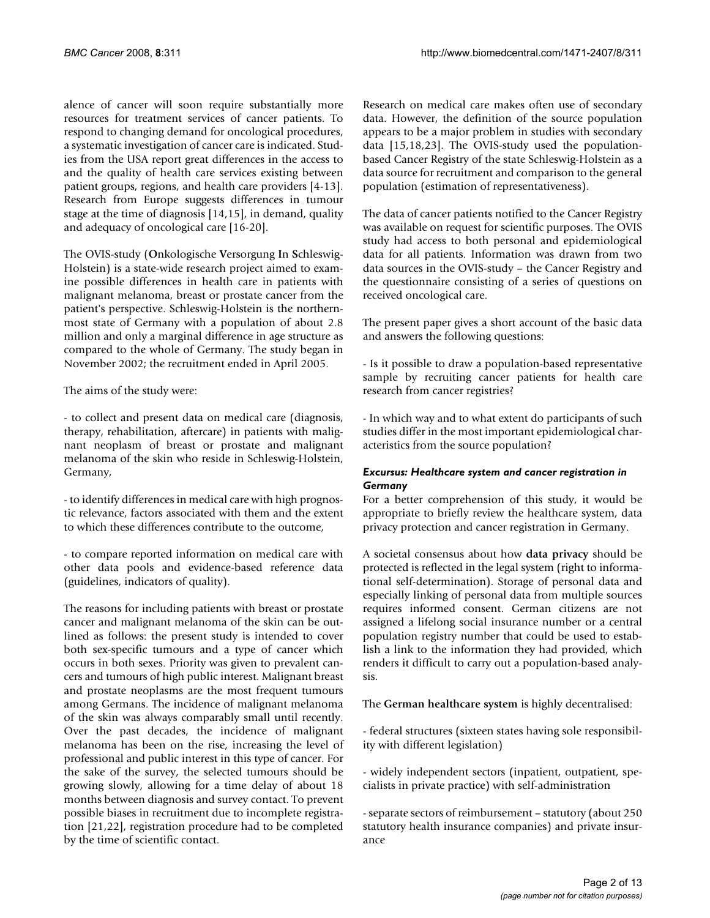alence of cancer will soon require substantially more resources for treatment services of cancer patients. To respond to changing demand for oncological procedures, a systematic investigation of cancer care is indicated. Studies from the USA report great differences in the access to and the quality of health care services existing between patient groups, regions, and health care providers [4-13]. Research from Europe suggests differences in tumour stage at the time of diagnosis [14,15], in demand, quality and adequacy of oncological care [16-20].

The OVIS-study (**O**nkologische **V**ersorgung **I**n **S**chleswig-Holstein) is a state-wide research project aimed to examine possible differences in health care in patients with malignant melanoma, breast or prostate cancer from the patient's perspective. Schleswig-Holstein is the northernmost state of Germany with a population of about 2.8 million and only a marginal difference in age structure as compared to the whole of Germany. The study began in November 2002; the recruitment ended in April 2005.

The aims of the study were:

- to collect and present data on medical care (diagnosis, therapy, rehabilitation, aftercare) in patients with malignant neoplasm of breast or prostate and malignant melanoma of the skin who reside in Schleswig-Holstein, Germany,

- to identify differences in medical care with high prognostic relevance, factors associated with them and the extent to which these differences contribute to the outcome,

- to compare reported information on medical care with other data pools and evidence-based reference data (guidelines, indicators of quality).

The reasons for including patients with breast or prostate cancer and malignant melanoma of the skin can be outlined as follows: the present study is intended to cover both sex-specific tumours and a type of cancer which occurs in both sexes. Priority was given to prevalent cancers and tumours of high public interest. Malignant breast and prostate neoplasms are the most frequent tumours among Germans. The incidence of malignant melanoma of the skin was always comparably small until recently. Over the past decades, the incidence of malignant melanoma has been on the rise, increasing the level of professional and public interest in this type of cancer. For the sake of the survey, the selected tumours should be growing slowly, allowing for a time delay of about 18 months between diagnosis and survey contact. To prevent possible biases in recruitment due to incomplete registration [21,22], registration procedure had to be completed by the time of scientific contact.

Research on medical care makes often use of secondary data. However, the definition of the source population appears to be a major problem in studies with secondary data [15,18,23]. The OVIS-study used the populationbased Cancer Registry of the state Schleswig-Holstein as a data source for recruitment and comparison to the general population (estimation of representativeness).

The data of cancer patients notified to the Cancer Registry was available on request for scientific purposes. The OVIS study had access to both personal and epidemiological data for all patients. Information was drawn from two data sources in the OVIS-study – the Cancer Registry and the questionnaire consisting of a series of questions on received oncological care.

The present paper gives a short account of the basic data and answers the following questions:

- Is it possible to draw a population-based representative sample by recruiting cancer patients for health care research from cancer registries?

- In which way and to what extent do participants of such studies differ in the most important epidemiological characteristics from the source population?

# *Excursus: Healthcare system and cancer registration in Germany*

For a better comprehension of this study, it would be appropriate to briefly review the healthcare system, data privacy protection and cancer registration in Germany.

A societal consensus about how **data privacy** should be protected is reflected in the legal system (right to informational self-determination). Storage of personal data and especially linking of personal data from multiple sources requires informed consent. German citizens are not assigned a lifelong social insurance number or a central population registry number that could be used to establish a link to the information they had provided, which renders it difficult to carry out a population-based analysis.

The **German healthcare system** is highly decentralised:

- federal structures (sixteen states having sole responsibility with different legislation)

- widely independent sectors (inpatient, outpatient, specialists in private practice) with self-administration

- separate sectors of reimbursement – statutory (about 250 statutory health insurance companies) and private insurance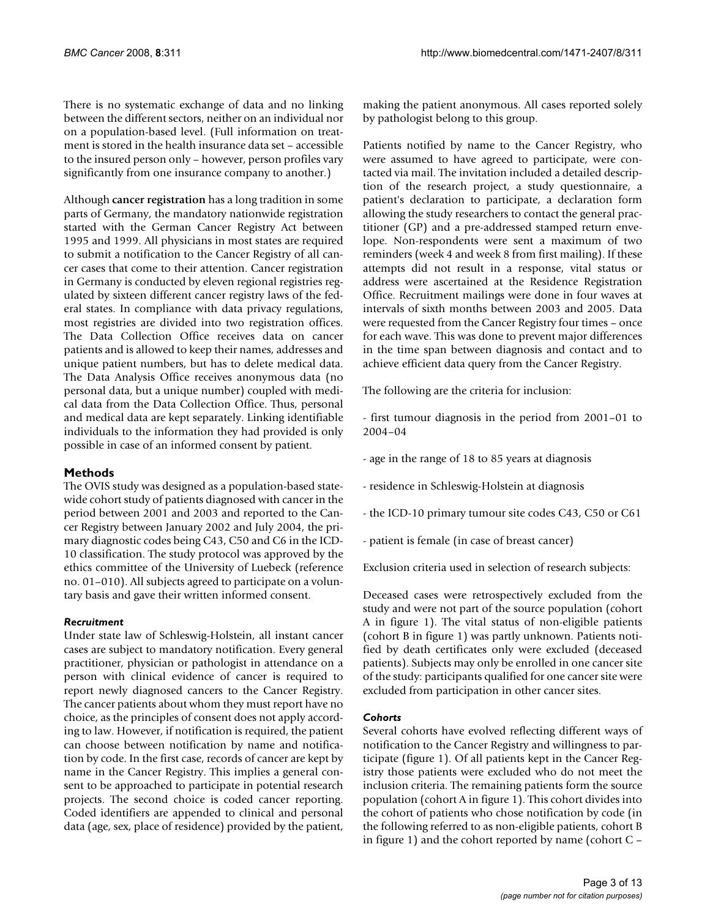There is no systematic exchange of data and no linking between the different sectors, neither on an individual nor on a population-based level. (Full information on treatment is stored in the health insurance data set – accessible to the insured person only – however, person profiles vary significantly from one insurance company to another.)

Although **cancer registration** has a long tradition in some parts of Germany, the mandatory nationwide registration started with the German Cancer Registry Act between 1995 and 1999. All physicians in most states are required to submit a notification to the Cancer Registry of all cancer cases that come to their attention. Cancer registration in Germany is conducted by eleven regional registries regulated by sixteen different cancer registry laws of the federal states. In compliance with data privacy regulations, most registries are divided into two registration offices. The Data Collection Office receives data on cancer patients and is allowed to keep their names, addresses and unique patient numbers, but has to delete medical data. The Data Analysis Office receives anonymous data (no personal data, but a unique number) coupled with medical data from the Data Collection Office. Thus, personal and medical data are kept separately. Linking identifiable individuals to the information they had provided is only possible in case of an informed consent by patient.

# **Methods**

The OVIS study was designed as a population-based statewide cohort study of patients diagnosed with cancer in the period between 2001 and 2003 and reported to the Cancer Registry between January 2002 and July 2004, the primary diagnostic codes being C43, C50 and C6 in the ICD-10 classification. The study protocol was approved by the ethics committee of the University of Luebeck (reference no. 01–010). All subjects agreed to participate on a voluntary basis and gave their written informed consent.

# *Recruitment*

Under state law of Schleswig-Holstein, all instant cancer cases are subject to mandatory notification. Every general practitioner, physician or pathologist in attendance on a person with clinical evidence of cancer is required to report newly diagnosed cancers to the Cancer Registry. The cancer patients about whom they must report have no choice, as the principles of consent does not apply according to law. However, if notification is required, the patient can choose between notification by name and notification by code. In the first case, records of cancer are kept by name in the Cancer Registry. This implies a general consent to be approached to participate in potential research projects. The second choice is coded cancer reporting. Coded identifiers are appended to clinical and personal data (age, sex, place of residence) provided by the patient,

making the patient anonymous. All cases reported solely by pathologist belong to this group.

Patients notified by name to the Cancer Registry, who were assumed to have agreed to participate, were contacted via mail. The invitation included a detailed description of the research project, a study questionnaire, a patient's declaration to participate, a declaration form allowing the study researchers to contact the general practitioner (GP) and a pre-addressed stamped return envelope. Non-respondents were sent a maximum of two reminders (week 4 and week 8 from first mailing). If these attempts did not result in a response, vital status or address were ascertained at the Residence Registration Office. Recruitment mailings were done in four waves at intervals of sixth months between 2003 and 2005. Data were requested from the Cancer Registry four times – once for each wave. This was done to prevent major differences in the time span between diagnosis and contact and to achieve efficient data query from the Cancer Registry.

The following are the criteria for inclusion:

- first tumour diagnosis in the period from 2001–01 to 2004–04

- age in the range of 18 to 85 years at diagnosis
- residence in Schleswig-Holstein at diagnosis
- the ICD-10 primary tumour site codes C43, C50 or C61
- patient is female (in case of breast cancer)

Exclusion criteria used in selection of research subjects:

Deceased cases were retrospectively excluded from the study and were not part of the source population (cohort A in figure 1). The vital status of non-eligible patients (cohort B in figure 1) was partly unknown. Patients notified by death certificates only were excluded (deceased patients). Subjects may only be enrolled in one cancer site of the study: participants qualified for one cancer site were excluded from participation in other cancer sites.

# *Cohorts*

Several cohorts have evolved reflecting different ways of notification to the Cancer Registry and willingness to participate (figure 1). Of all patients kept in the Cancer Registry those patients were excluded who do not meet the inclusion criteria. The remaining patients form the source population (cohort A in figure 1). This cohort divides into the cohort of patients who chose notification by code (in the following referred to as non-eligible patients, cohort B in figure 1) and the cohort reported by name (cohort C –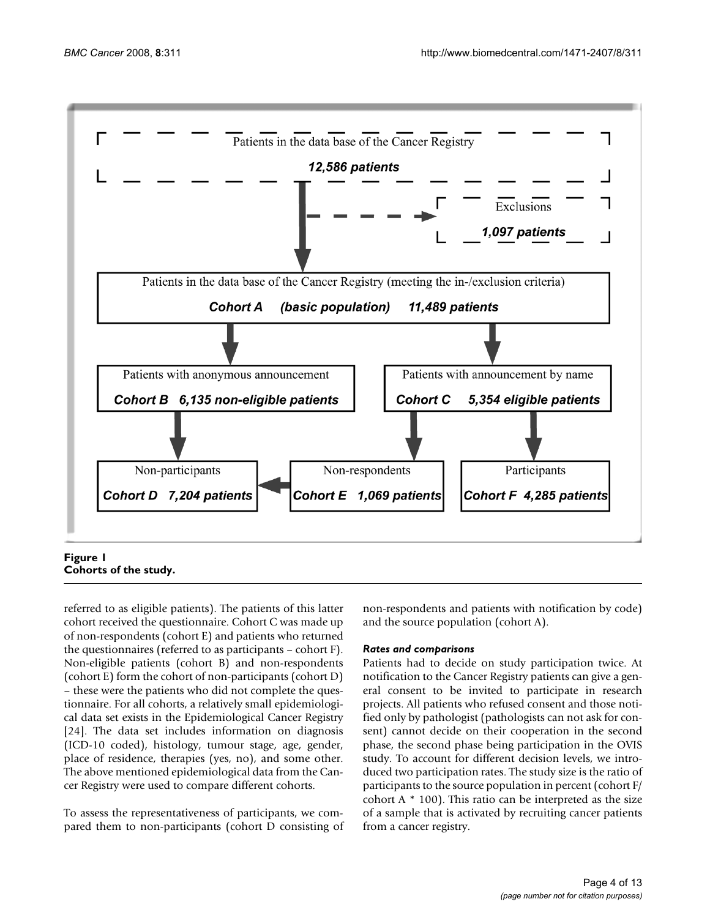

#### **Figure 1 Cohorts of the study.**

referred to as eligible patients). The patients of this latter cohort received the questionnaire. Cohort C was made up of non-respondents (cohort E) and patients who returned the questionnaires (referred to as participants – cohort F). Non-eligible patients (cohort B) and non-respondents (cohort E) form the cohort of non-participants (cohort D) – these were the patients who did not complete the questionnaire. For all cohorts, a relatively small epidemiological data set exists in the Epidemiological Cancer Registry [24]. The data set includes information on diagnosis (ICD-10 coded), histology, tumour stage, age, gender, place of residence, therapies (yes, no), and some other. The above mentioned epidemiological data from the Cancer Registry were used to compare different cohorts.

To assess the representativeness of participants, we compared them to non-participants (cohort D consisting of non-respondents and patients with notification by code) and the source population (cohort A).

# *Rates and comparisons*

Patients had to decide on study participation twice. At notification to the Cancer Registry patients can give a general consent to be invited to participate in research projects. All patients who refused consent and those notified only by pathologist (pathologists can not ask for consent) cannot decide on their cooperation in the second phase, the second phase being participation in the OVIS study. To account for different decision levels, we introduced two participation rates. The study size is the ratio of participants to the source population in percent (cohort F/ cohort A  $*$  100). This ratio can be interpreted as the size of a sample that is activated by recruiting cancer patients from a cancer registry.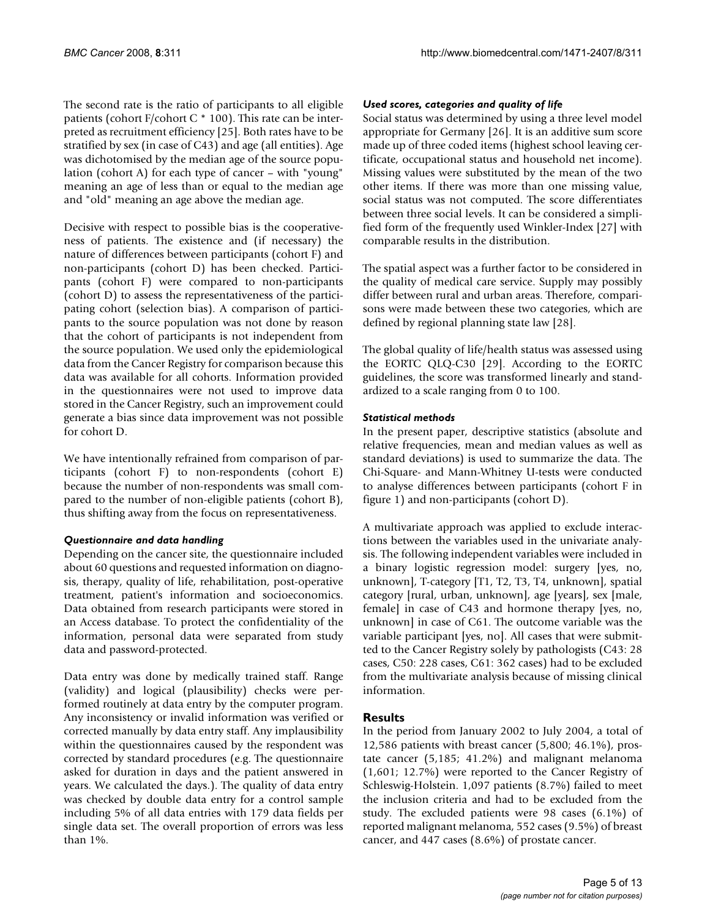The second rate is the ratio of participants to all eligible patients (cohort F/cohort C \* 100). This rate can be interpreted as recruitment efficiency [25]. Both rates have to be stratified by sex (in case of C43) and age (all entities). Age was dichotomised by the median age of the source population (cohort A) for each type of cancer – with "young" meaning an age of less than or equal to the median age and "old" meaning an age above the median age.

Decisive with respect to possible bias is the cooperativeness of patients. The existence and (if necessary) the nature of differences between participants (cohort F) and non-participants (cohort D) has been checked. Participants (cohort F) were compared to non-participants (cohort D) to assess the representativeness of the participating cohort (selection bias). A comparison of participants to the source population was not done by reason that the cohort of participants is not independent from the source population. We used only the epidemiological data from the Cancer Registry for comparison because this data was available for all cohorts. Information provided in the questionnaires were not used to improve data stored in the Cancer Registry, such an improvement could generate a bias since data improvement was not possible for cohort D.

We have intentionally refrained from comparison of participants (cohort F) to non-respondents (cohort E) because the number of non-respondents was small compared to the number of non-eligible patients (cohort B), thus shifting away from the focus on representativeness.

# *Questionnaire and data handling*

Depending on the cancer site, the questionnaire included about 60 questions and requested information on diagnosis, therapy, quality of life, rehabilitation, post-operative treatment, patient's information and socioeconomics. Data obtained from research participants were stored in an Access database. To protect the confidentiality of the information, personal data were separated from study data and password-protected.

Data entry was done by medically trained staff. Range (validity) and logical (plausibility) checks were performed routinely at data entry by the computer program. Any inconsistency or invalid information was verified or corrected manually by data entry staff. Any implausibility within the questionnaires caused by the respondent was corrected by standard procedures (e.g. The questionnaire asked for duration in days and the patient answered in years. We calculated the days.). The quality of data entry was checked by double data entry for a control sample including 5% of all data entries with 179 data fields per single data set. The overall proportion of errors was less than 1%.

## *Used scores, categories and quality of life*

Social status was determined by using a three level model appropriate for Germany [26]. It is an additive sum score made up of three coded items (highest school leaving certificate, occupational status and household net income). Missing values were substituted by the mean of the two other items. If there was more than one missing value, social status was not computed. The score differentiates between three social levels. It can be considered a simplified form of the frequently used Winkler-Index [27] with comparable results in the distribution.

The spatial aspect was a further factor to be considered in the quality of medical care service. Supply may possibly differ between rural and urban areas. Therefore, comparisons were made between these two categories, which are defined by regional planning state law [28].

The global quality of life/health status was assessed using the EORTC QLQ-C30 [29]. According to the EORTC guidelines, the score was transformed linearly and standardized to a scale ranging from 0 to 100.

#### *Statistical methods*

In the present paper, descriptive statistics (absolute and relative frequencies, mean and median values as well as standard deviations) is used to summarize the data. The Chi-Square- and Mann-Whitney U-tests were conducted to analyse differences between participants (cohort F in figure 1) and non-participants (cohort D).

A multivariate approach was applied to exclude interactions between the variables used in the univariate analysis. The following independent variables were included in a binary logistic regression model: surgery [yes, no, unknown], T-category [T1, T2, T3, T4, unknown], spatial category [rural, urban, unknown], age [years], sex [male, female] in case of C43 and hormone therapy [yes, no, unknown] in case of C61. The outcome variable was the variable participant [yes, no]. All cases that were submitted to the Cancer Registry solely by pathologists (C43: 28 cases, C50: 228 cases, C61: 362 cases) had to be excluded from the multivariate analysis because of missing clinical information.

# **Results**

In the period from January 2002 to July 2004, a total of 12,586 patients with breast cancer (5,800; 46.1%), prostate cancer (5,185; 41.2%) and malignant melanoma (1,601; 12.7%) were reported to the Cancer Registry of Schleswig-Holstein. 1,097 patients (8.7%) failed to meet the inclusion criteria and had to be excluded from the study. The excluded patients were 98 cases (6.1%) of reported malignant melanoma, 552 cases (9.5%) of breast cancer, and 447 cases (8.6%) of prostate cancer.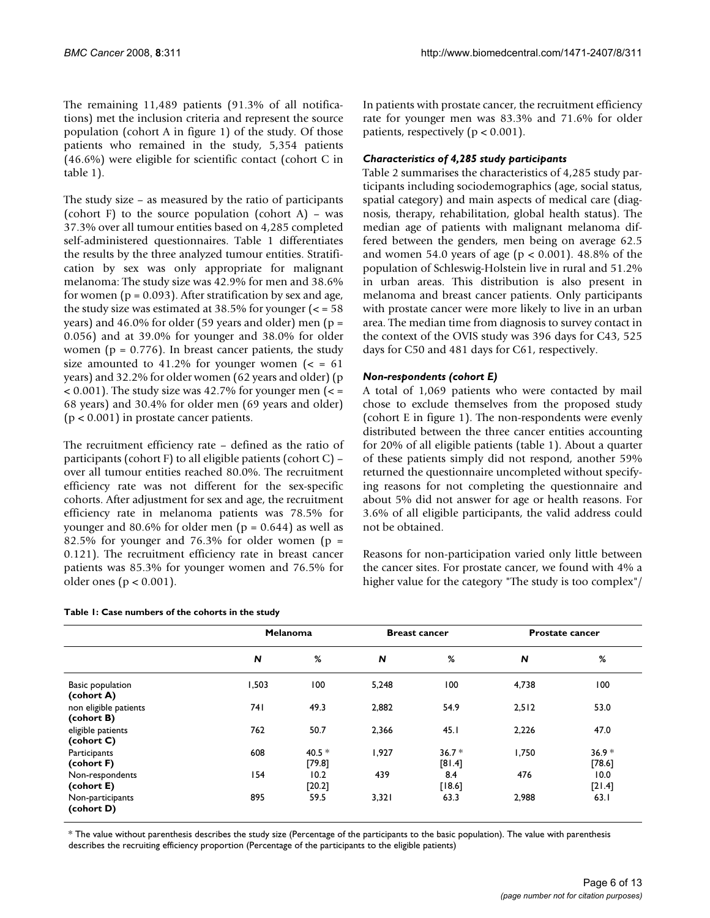The remaining 11,489 patients (91.3% of all notifications) met the inclusion criteria and represent the source population (cohort A in figure 1) of the study. Of those patients who remained in the study, 5,354 patients (46.6%) were eligible for scientific contact (cohort C in table 1).

The study size – as measured by the ratio of participants (cohort F) to the source population (cohort A) – was 37.3% over all tumour entities based on 4,285 completed self-administered questionnaires. Table 1 differentiates the results by the three analyzed tumour entities. Stratification by sex was only appropriate for malignant melanoma: The study size was 42.9% for men and 38.6% for women ( $p = 0.093$ ). After stratification by sex and age, the study size was estimated at  $38.5\%$  for younger ( $\lt$  =  $58$ years) and 46.0% for older (59 years and older) men (p = 0.056) and at 39.0% for younger and 38.0% for older women ( $p = 0.776$ ). In breast cancer patients, the study size amounted to 41.2% for younger women  $\zeta = 61$ years) and 32.2% for older women (62 years and older) (p  $<$  0.001). The study size was 42.7% for younger men ( $<$  = 68 years) and 30.4% for older men (69 years and older) (p < 0.001) in prostate cancer patients.

The recruitment efficiency rate – defined as the ratio of participants (cohort F) to all eligible patients (cohort C) – over all tumour entities reached 80.0%. The recruitment efficiency rate was not different for the sex-specific cohorts. After adjustment for sex and age, the recruitment efficiency rate in melanoma patients was 78.5% for younger and 80.6% for older men ( $p = 0.644$ ) as well as 82.5% for younger and 76.3% for older women ( $p =$ 0.121). The recruitment efficiency rate in breast cancer patients was 85.3% for younger women and 76.5% for older ones ( $p < 0.001$ ).

| Table 1: Case numbers of the cohorts in the study |  |
|---------------------------------------------------|--|
|---------------------------------------------------|--|

In patients with prostate cancer, the recruitment efficiency rate for younger men was 83.3% and 71.6% for older patients, respectively ( $p < 0.001$ ).

# *Characteristics of 4,285 study participants*

Table 2 summarises the characteristics of 4,285 study participants including sociodemographics (age, social status, spatial category) and main aspects of medical care (diagnosis, therapy, rehabilitation, global health status). The median age of patients with malignant melanoma differed between the genders, men being on average 62.5 and women 54.0 years of age ( $p < 0.001$ ). 48.8% of the population of Schleswig-Holstein live in rural and 51.2% in urban areas. This distribution is also present in melanoma and breast cancer patients. Only participants with prostate cancer were more likely to live in an urban area. The median time from diagnosis to survey contact in the context of the OVIS study was 396 days for C43, 525 days for C50 and 481 days for C61, respectively.

# *Non-respondents (cohort E)*

A total of 1,069 patients who were contacted by mail chose to exclude themselves from the proposed study (cohort E in figure 1). The non-respondents were evenly distributed between the three cancer entities accounting for 20% of all eligible patients (table 1). About a quarter of these patients simply did not respond, another 59% returned the questionnaire uncompleted without specifying reasons for not completing the questionnaire and about 5% did not answer for age or health reasons. For 3.6% of all eligible participants, the valid address could not be obtained.

Reasons for non-participation varied only little between the cancer sites. For prostate cancer, we found with 4% a higher value for the category "The study is too complex"/

|                                     | <b>Melanoma</b> |                    | <b>Breast cancer</b> |                   | <b>Prostate cancer</b> |                   |
|-------------------------------------|-----------------|--------------------|----------------------|-------------------|------------------------|-------------------|
|                                     | $\mathsf{N}$    | %                  | N                    | %                 | N                      | %                 |
| Basic population<br>(cohort A)      | 1,503           | 100                | 5,248                | 100               | 4,738                  | 100               |
| non eligible patients<br>(cohort B) | 741             | 49.3               | 2,882                | 54.9              | 2,512                  | 53.0              |
| eligible patients<br>(cohort C)     | 762             | 50.7               | 2,366                | 45.1              | 2,226                  | 47.0              |
| Participants<br>(cohort F)          | 608             | 40.5 $*$<br>[79.8] | 1,927                | $36.7*$<br>[81.4] | 1,750                  | $36.9*$<br>[78.6] |
| Non-respondents<br>(cohort E)       | 154             | 10.2<br>[20.2]     | 439                  | 8.4<br>[18.6]     | 476                    | 10.0<br>$[21.4]$  |
| Non-participants<br>(cohort D)      | 895             | 59.5               | 3,321                | 63.3              | 2,988                  | 63.1              |

\* The value without parenthesis describes the study size (Percentage of the participants to the basic population). The value with parenthesis describes the recruiting efficiency proportion (Percentage of the participants to the eligible patients)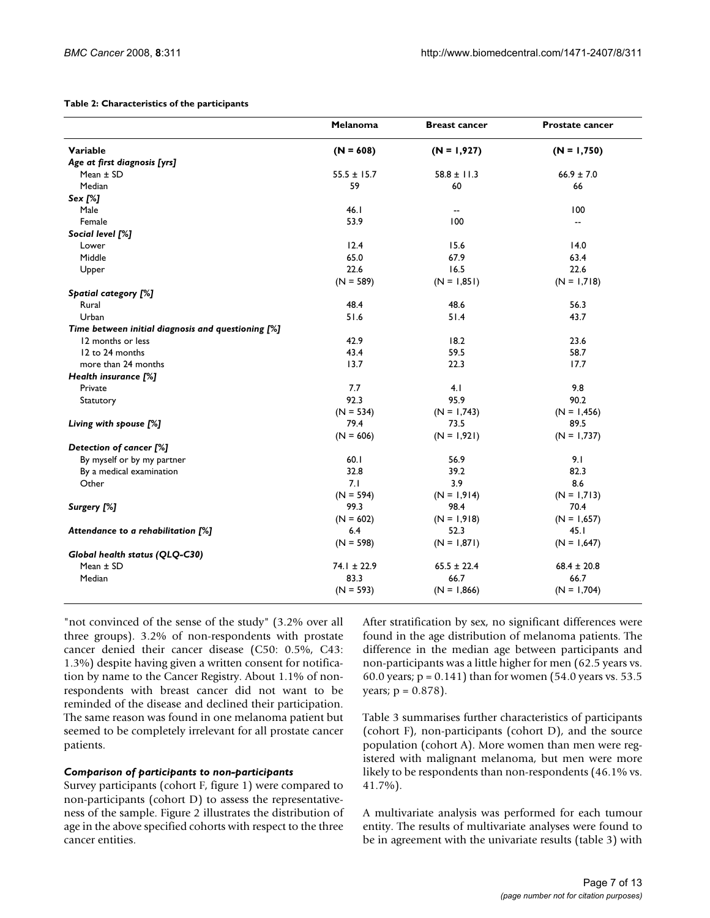#### **Table 2: Characteristics of the participants**

| Variable<br>$(N = 608)$<br>$(N = 1,750)$<br>$(N = 1,927)$<br>Age at first diagnosis [yrs]<br>Mean $\pm$ SD<br>$66.9 \pm 7.0$<br>$55.5 \pm 15.7$<br>$58.8 \pm 11.3$<br>Median<br>59<br>60<br>66<br>Sex [%]<br>Male<br>46.1<br>100<br>-−<br>53.9<br>100<br>Female<br>$\overline{\phantom{a}}$<br>Social level [%]<br>12.4<br>15.6<br>14.0<br>Lower<br>65.0<br>67.9<br>63.4<br>Middle<br>22.6<br>16.5<br>22.6<br>Upper<br>$(N = 589)$<br>$(N = 1,851)$<br>$(N = 1,718)$<br><b>Spatial category [%]</b><br>Rural<br>48.4<br>48.6<br>56.3<br>51.6<br>51.4<br>43.7<br>Urban<br>Time between initial diagnosis and questioning [%]<br>12 months or less<br>42.9<br>18.2<br>23.6<br>12 to 24 months<br>43.4<br>59.5<br>58.7<br>more than 24 months<br>13.7<br>22.3<br>17.7<br>Health insurance [%]<br>7.7<br>4.1<br>9.8<br>Private<br>92.3<br>95.9<br>90.2<br>Statutory<br>$(N = 534)$<br>$(N = 1,743)$<br>$(N = 1,456)$<br>79.4<br>73.5<br>89.5<br>Living with spouse [%]<br>$(N = 606)$<br>$(N = 1,921)$<br>$(N = 1,737)$<br>Detection of cancer [%]<br>9.1<br>By myself or by my partner<br>60.1<br>56.9<br>32.8<br>39.2<br>82.3<br>By a medical examination<br>Other<br>7.1<br>3.9<br>8.6<br>$(N = 594)$<br>$(N = 1,914)$<br>$(N = 1,713)$<br>Surgery [%]<br>99.3<br>98.4<br>70.4<br>$(N = 1,918)$<br>$(N = 1,657)$<br>$(N = 602)$<br>52.3<br>45.1<br>Attendance to a rehabilitation [%]<br>6.4<br>$(N = 598)$<br>$(N = 1,871)$<br>$(N = 1,647)$<br>Global health status (QLQ-C30)<br>Mean $\pm$ SD<br>$74.1 \pm 22.9$<br>$65.5 \pm 22.4$<br>$68.4 \pm 20.8$<br>Median<br>83.3<br>66.7<br>66.7<br>$(N = 593)$<br>$(N = 1,866)$<br>$(N = 1,704)$ | <b>Melanoma</b> | <b>Breast cancer</b> | <b>Prostate cancer</b> |
|---------------------------------------------------------------------------------------------------------------------------------------------------------------------------------------------------------------------------------------------------------------------------------------------------------------------------------------------------------------------------------------------------------------------------------------------------------------------------------------------------------------------------------------------------------------------------------------------------------------------------------------------------------------------------------------------------------------------------------------------------------------------------------------------------------------------------------------------------------------------------------------------------------------------------------------------------------------------------------------------------------------------------------------------------------------------------------------------------------------------------------------------------------------------------------------------------------------------------------------------------------------------------------------------------------------------------------------------------------------------------------------------------------------------------------------------------------------------------------------------------------------------------------------------------------------------------------------------------------------------------------------------|-----------------|----------------------|------------------------|
|                                                                                                                                                                                                                                                                                                                                                                                                                                                                                                                                                                                                                                                                                                                                                                                                                                                                                                                                                                                                                                                                                                                                                                                                                                                                                                                                                                                                                                                                                                                                                                                                                                             |                 |                      |                        |
|                                                                                                                                                                                                                                                                                                                                                                                                                                                                                                                                                                                                                                                                                                                                                                                                                                                                                                                                                                                                                                                                                                                                                                                                                                                                                                                                                                                                                                                                                                                                                                                                                                             |                 |                      |                        |
|                                                                                                                                                                                                                                                                                                                                                                                                                                                                                                                                                                                                                                                                                                                                                                                                                                                                                                                                                                                                                                                                                                                                                                                                                                                                                                                                                                                                                                                                                                                                                                                                                                             |                 |                      |                        |
|                                                                                                                                                                                                                                                                                                                                                                                                                                                                                                                                                                                                                                                                                                                                                                                                                                                                                                                                                                                                                                                                                                                                                                                                                                                                                                                                                                                                                                                                                                                                                                                                                                             |                 |                      |                        |
|                                                                                                                                                                                                                                                                                                                                                                                                                                                                                                                                                                                                                                                                                                                                                                                                                                                                                                                                                                                                                                                                                                                                                                                                                                                                                                                                                                                                                                                                                                                                                                                                                                             |                 |                      |                        |
|                                                                                                                                                                                                                                                                                                                                                                                                                                                                                                                                                                                                                                                                                                                                                                                                                                                                                                                                                                                                                                                                                                                                                                                                                                                                                                                                                                                                                                                                                                                                                                                                                                             |                 |                      |                        |
|                                                                                                                                                                                                                                                                                                                                                                                                                                                                                                                                                                                                                                                                                                                                                                                                                                                                                                                                                                                                                                                                                                                                                                                                                                                                                                                                                                                                                                                                                                                                                                                                                                             |                 |                      |                        |
|                                                                                                                                                                                                                                                                                                                                                                                                                                                                                                                                                                                                                                                                                                                                                                                                                                                                                                                                                                                                                                                                                                                                                                                                                                                                                                                                                                                                                                                                                                                                                                                                                                             |                 |                      |                        |
|                                                                                                                                                                                                                                                                                                                                                                                                                                                                                                                                                                                                                                                                                                                                                                                                                                                                                                                                                                                                                                                                                                                                                                                                                                                                                                                                                                                                                                                                                                                                                                                                                                             |                 |                      |                        |
|                                                                                                                                                                                                                                                                                                                                                                                                                                                                                                                                                                                                                                                                                                                                                                                                                                                                                                                                                                                                                                                                                                                                                                                                                                                                                                                                                                                                                                                                                                                                                                                                                                             |                 |                      |                        |
|                                                                                                                                                                                                                                                                                                                                                                                                                                                                                                                                                                                                                                                                                                                                                                                                                                                                                                                                                                                                                                                                                                                                                                                                                                                                                                                                                                                                                                                                                                                                                                                                                                             |                 |                      |                        |
|                                                                                                                                                                                                                                                                                                                                                                                                                                                                                                                                                                                                                                                                                                                                                                                                                                                                                                                                                                                                                                                                                                                                                                                                                                                                                                                                                                                                                                                                                                                                                                                                                                             |                 |                      |                        |
|                                                                                                                                                                                                                                                                                                                                                                                                                                                                                                                                                                                                                                                                                                                                                                                                                                                                                                                                                                                                                                                                                                                                                                                                                                                                                                                                                                                                                                                                                                                                                                                                                                             |                 |                      |                        |
|                                                                                                                                                                                                                                                                                                                                                                                                                                                                                                                                                                                                                                                                                                                                                                                                                                                                                                                                                                                                                                                                                                                                                                                                                                                                                                                                                                                                                                                                                                                                                                                                                                             |                 |                      |                        |
|                                                                                                                                                                                                                                                                                                                                                                                                                                                                                                                                                                                                                                                                                                                                                                                                                                                                                                                                                                                                                                                                                                                                                                                                                                                                                                                                                                                                                                                                                                                                                                                                                                             |                 |                      |                        |
|                                                                                                                                                                                                                                                                                                                                                                                                                                                                                                                                                                                                                                                                                                                                                                                                                                                                                                                                                                                                                                                                                                                                                                                                                                                                                                                                                                                                                                                                                                                                                                                                                                             |                 |                      |                        |
|                                                                                                                                                                                                                                                                                                                                                                                                                                                                                                                                                                                                                                                                                                                                                                                                                                                                                                                                                                                                                                                                                                                                                                                                                                                                                                                                                                                                                                                                                                                                                                                                                                             |                 |                      |                        |
|                                                                                                                                                                                                                                                                                                                                                                                                                                                                                                                                                                                                                                                                                                                                                                                                                                                                                                                                                                                                                                                                                                                                                                                                                                                                                                                                                                                                                                                                                                                                                                                                                                             |                 |                      |                        |
|                                                                                                                                                                                                                                                                                                                                                                                                                                                                                                                                                                                                                                                                                                                                                                                                                                                                                                                                                                                                                                                                                                                                                                                                                                                                                                                                                                                                                                                                                                                                                                                                                                             |                 |                      |                        |
|                                                                                                                                                                                                                                                                                                                                                                                                                                                                                                                                                                                                                                                                                                                                                                                                                                                                                                                                                                                                                                                                                                                                                                                                                                                                                                                                                                                                                                                                                                                                                                                                                                             |                 |                      |                        |
|                                                                                                                                                                                                                                                                                                                                                                                                                                                                                                                                                                                                                                                                                                                                                                                                                                                                                                                                                                                                                                                                                                                                                                                                                                                                                                                                                                                                                                                                                                                                                                                                                                             |                 |                      |                        |
|                                                                                                                                                                                                                                                                                                                                                                                                                                                                                                                                                                                                                                                                                                                                                                                                                                                                                                                                                                                                                                                                                                                                                                                                                                                                                                                                                                                                                                                                                                                                                                                                                                             |                 |                      |                        |
|                                                                                                                                                                                                                                                                                                                                                                                                                                                                                                                                                                                                                                                                                                                                                                                                                                                                                                                                                                                                                                                                                                                                                                                                                                                                                                                                                                                                                                                                                                                                                                                                                                             |                 |                      |                        |
|                                                                                                                                                                                                                                                                                                                                                                                                                                                                                                                                                                                                                                                                                                                                                                                                                                                                                                                                                                                                                                                                                                                                                                                                                                                                                                                                                                                                                                                                                                                                                                                                                                             |                 |                      |                        |
|                                                                                                                                                                                                                                                                                                                                                                                                                                                                                                                                                                                                                                                                                                                                                                                                                                                                                                                                                                                                                                                                                                                                                                                                                                                                                                                                                                                                                                                                                                                                                                                                                                             |                 |                      |                        |
|                                                                                                                                                                                                                                                                                                                                                                                                                                                                                                                                                                                                                                                                                                                                                                                                                                                                                                                                                                                                                                                                                                                                                                                                                                                                                                                                                                                                                                                                                                                                                                                                                                             |                 |                      |                        |
|                                                                                                                                                                                                                                                                                                                                                                                                                                                                                                                                                                                                                                                                                                                                                                                                                                                                                                                                                                                                                                                                                                                                                                                                                                                                                                                                                                                                                                                                                                                                                                                                                                             |                 |                      |                        |
|                                                                                                                                                                                                                                                                                                                                                                                                                                                                                                                                                                                                                                                                                                                                                                                                                                                                                                                                                                                                                                                                                                                                                                                                                                                                                                                                                                                                                                                                                                                                                                                                                                             |                 |                      |                        |
|                                                                                                                                                                                                                                                                                                                                                                                                                                                                                                                                                                                                                                                                                                                                                                                                                                                                                                                                                                                                                                                                                                                                                                                                                                                                                                                                                                                                                                                                                                                                                                                                                                             |                 |                      |                        |
|                                                                                                                                                                                                                                                                                                                                                                                                                                                                                                                                                                                                                                                                                                                                                                                                                                                                                                                                                                                                                                                                                                                                                                                                                                                                                                                                                                                                                                                                                                                                                                                                                                             |                 |                      |                        |
|                                                                                                                                                                                                                                                                                                                                                                                                                                                                                                                                                                                                                                                                                                                                                                                                                                                                                                                                                                                                                                                                                                                                                                                                                                                                                                                                                                                                                                                                                                                                                                                                                                             |                 |                      |                        |
|                                                                                                                                                                                                                                                                                                                                                                                                                                                                                                                                                                                                                                                                                                                                                                                                                                                                                                                                                                                                                                                                                                                                                                                                                                                                                                                                                                                                                                                                                                                                                                                                                                             |                 |                      |                        |
|                                                                                                                                                                                                                                                                                                                                                                                                                                                                                                                                                                                                                                                                                                                                                                                                                                                                                                                                                                                                                                                                                                                                                                                                                                                                                                                                                                                                                                                                                                                                                                                                                                             |                 |                      |                        |
|                                                                                                                                                                                                                                                                                                                                                                                                                                                                                                                                                                                                                                                                                                                                                                                                                                                                                                                                                                                                                                                                                                                                                                                                                                                                                                                                                                                                                                                                                                                                                                                                                                             |                 |                      |                        |
|                                                                                                                                                                                                                                                                                                                                                                                                                                                                                                                                                                                                                                                                                                                                                                                                                                                                                                                                                                                                                                                                                                                                                                                                                                                                                                                                                                                                                                                                                                                                                                                                                                             |                 |                      |                        |
|                                                                                                                                                                                                                                                                                                                                                                                                                                                                                                                                                                                                                                                                                                                                                                                                                                                                                                                                                                                                                                                                                                                                                                                                                                                                                                                                                                                                                                                                                                                                                                                                                                             |                 |                      |                        |
|                                                                                                                                                                                                                                                                                                                                                                                                                                                                                                                                                                                                                                                                                                                                                                                                                                                                                                                                                                                                                                                                                                                                                                                                                                                                                                                                                                                                                                                                                                                                                                                                                                             |                 |                      |                        |
|                                                                                                                                                                                                                                                                                                                                                                                                                                                                                                                                                                                                                                                                                                                                                                                                                                                                                                                                                                                                                                                                                                                                                                                                                                                                                                                                                                                                                                                                                                                                                                                                                                             |                 |                      |                        |

"not convinced of the sense of the study" (3.2% over all three groups). 3.2% of non-respondents with prostate cancer denied their cancer disease (C50: 0.5%, C43: 1.3%) despite having given a written consent for notification by name to the Cancer Registry. About 1.1% of nonrespondents with breast cancer did not want to be reminded of the disease and declined their participation. The same reason was found in one melanoma patient but seemed to be completely irrelevant for all prostate cancer patients.

# *Comparison of participants to non-participants*

Survey participants (cohort F, figure 1) were compared to non-participants (cohort D) to assess the representativeness of the sample. Figure 2 illustrates the distribution of age in the above specified cohorts with respect to the three cancer entities.

After stratification by sex, no significant differences were found in the age distribution of melanoma patients. The difference in the median age between participants and non-participants was a little higher for men (62.5 years vs. 60.0 years;  $p = 0.141$ ) than for women (54.0 years vs. 53.5) years;  $p = 0.878$ ).

Table 3 summarises further characteristics of participants (cohort F), non-participants (cohort D), and the source population (cohort A). More women than men were registered with malignant melanoma, but men were more likely to be respondents than non-respondents (46.1% vs. 41.7%).

A multivariate analysis was performed for each tumour entity. The results of multivariate analyses were found to be in agreement with the univariate results (table 3) with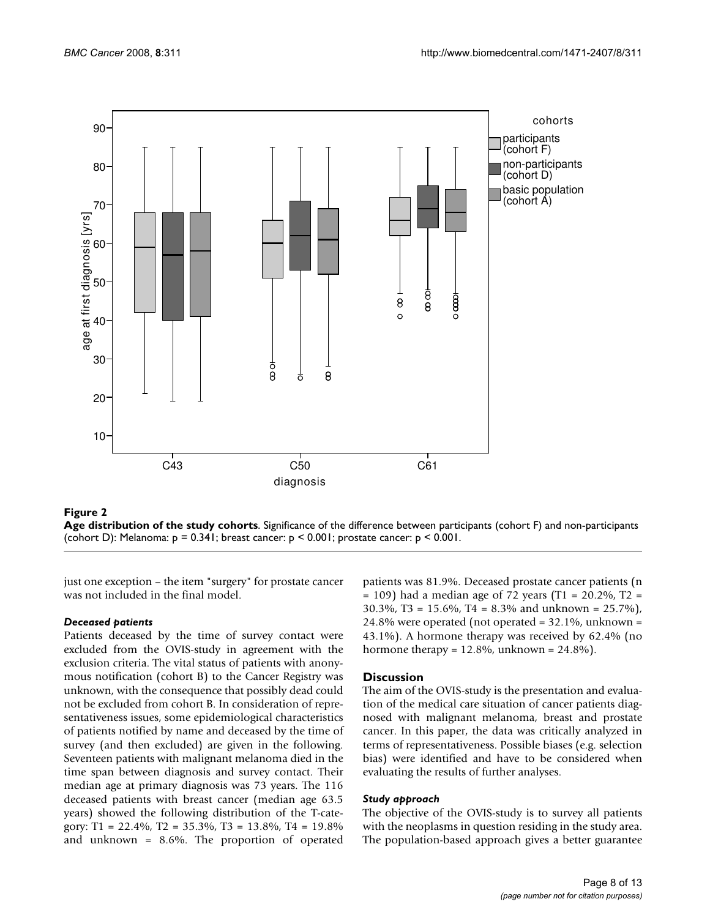

#### **Figure 2**

**Age distribution of the study cohorts**. Significance of the difference between participants (cohort F) and non-participants (cohort D): Melanoma:  $p = 0.341$ ; breast cancer:  $p \le 0.001$ ; prostate cancer:  $p \le 0.001$ .

just one exception – the item "surgery" for prostate cancer was not included in the final model.

#### *Deceased patients*

Patients deceased by the time of survey contact were excluded from the OVIS-study in agreement with the exclusion criteria. The vital status of patients with anonymous notification (cohort B) to the Cancer Registry was unknown, with the consequence that possibly dead could not be excluded from cohort B. In consideration of representativeness issues, some epidemiological characteristics of patients notified by name and deceased by the time of survey (and then excluded) are given in the following. Seventeen patients with malignant melanoma died in the time span between diagnosis and survey contact. Their median age at primary diagnosis was 73 years. The 116 deceased patients with breast cancer (median age 63.5 years) showed the following distribution of the T-category: T1 = 22.4%, T2 = 35.3%, T3 = 13.8%, T4 = 19.8% and unknown = 8.6%. The proportion of operated patients was 81.9%. Deceased prostate cancer patients (n  $= 109$ ) had a median age of 72 years (T1 = 20.2%, T2 = 30.3%, T3 = 15.6%, T4 = 8.3% and unknown = 25.7%), 24.8% were operated (not operated = 32.1%, unknown = 43.1%). A hormone therapy was received by 62.4% (no hormone therapy =  $12.8\%$ , unknown =  $24.8\%$ ).

#### **Discussion**

The aim of the OVIS-study is the presentation and evaluation of the medical care situation of cancer patients diagnosed with malignant melanoma, breast and prostate cancer. In this paper, the data was critically analyzed in terms of representativeness. Possible biases (e.g. selection bias) were identified and have to be considered when evaluating the results of further analyses.

#### *Study approach*

The objective of the OVIS-study is to survey all patients with the neoplasms in question residing in the study area. The population-based approach gives a better guarantee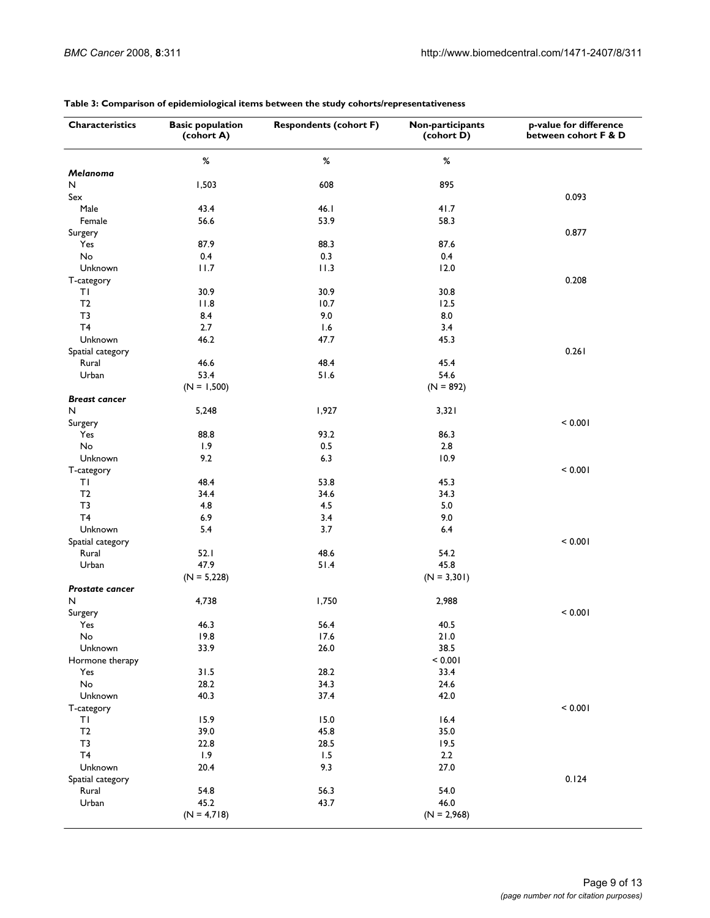| Characteristics      | <b>Basic population</b><br>(cohort A) | <b>Respondents (cohort F)</b> | Non-participants<br>(cohort D) | p-value for difference<br>between cohort F & D |
|----------------------|---------------------------------------|-------------------------------|--------------------------------|------------------------------------------------|
|                      | $\%$                                  | %                             | $\%$                           |                                                |
| Melanoma             |                                       |                               |                                |                                                |
| N                    | 1,503                                 | 608                           | 895                            |                                                |
| Sex                  |                                       |                               |                                | 0.093                                          |
| Male                 | 43.4                                  | 46.1                          | 41.7                           |                                                |
| Female               | 56.6                                  | 53.9                          | 58.3                           |                                                |
| Surgery              |                                       |                               |                                | 0.877                                          |
| Yes                  | 87.9                                  | 88.3                          | 87.6                           |                                                |
| No                   | 0.4                                   | 0.3                           | 0.4                            |                                                |
| Unknown              | 11.7                                  | 11.3                          | 12.0                           |                                                |
| T-category           |                                       |                               |                                | 0.208                                          |
| ΤI                   | 30.9                                  | 30.9                          | 30.8                           |                                                |
| T2                   | 11.8                                  | 10.7                          | 12.5                           |                                                |
| T <sub>3</sub>       | 8.4                                   | 9.0                           | 8.0                            |                                                |
| <b>T4</b>            | 2.7                                   | 1.6                           | 3.4                            |                                                |
| Unknown              | 46.2                                  | 47.7                          | 45.3                           |                                                |
| Spatial category     |                                       |                               |                                | 0.261                                          |
| Rural                | 46.6                                  | 48.4                          | 45.4                           |                                                |
| Urban                | 53.4                                  | 51.6                          | 54.6                           |                                                |
|                      | $(N = 1,500)$                         |                               | $(N = 892)$                    |                                                |
| <b>Breast cancer</b> |                                       |                               |                                |                                                |
| N                    | 5,248                                 | 1,927                         | 3,321                          |                                                |
| Surgery              |                                       |                               |                                | < 0.001                                        |
| Yes                  | 88.8                                  | 93.2                          | 86.3                           |                                                |
| No                   | 1.9                                   | 0.5                           | 2.8                            |                                                |
| Unknown              | 9.2                                   | 6.3                           | 10.9                           |                                                |
| T-category           |                                       |                               |                                | < 0.001                                        |
| ΤI                   | 48.4                                  | 53.8                          | 45.3                           |                                                |
| T <sub>2</sub>       | 34.4                                  | 34.6                          | 34.3                           |                                                |
| T <sub>3</sub>       | 4.8                                   | 4.5                           | 5.0                            |                                                |
| <b>T4</b>            | 6.9                                   | 3.4                           | 9.0                            |                                                |
| Unknown              | 5.4                                   | 3.7                           | 6.4                            |                                                |
| Spatial category     |                                       |                               |                                | < 0.001                                        |
| Rural                | 52.1                                  | 48.6                          | 54.2                           |                                                |
| Urban                | 47.9                                  | 51.4                          | 45.8                           |                                                |
|                      | $(N = 5,228)$                         |                               | $(N = 3,301)$                  |                                                |
| Prostate cancer      |                                       |                               |                                |                                                |
| Ν                    | 4,738                                 | 1,750                         | 2,988                          |                                                |
| Surgery              |                                       |                               |                                | < 0.001                                        |
| Yes                  | 46.3                                  | 56.4                          | 40.5                           |                                                |
| No                   | 19.8                                  | 17.6                          | 21.0                           |                                                |
| Unknown              | 33.9                                  | 26.0                          | 38.5                           |                                                |
| Hormone therapy      |                                       |                               | < 0.001                        |                                                |
| Yes                  | $31.5$                                | 28.2                          | 33.4                           |                                                |
| No                   | 28.2                                  | 34.3                          | 24.6                           |                                                |
| Unknown              | 40.3                                  | 37.4                          | 42.0                           |                                                |
| T-category           |                                       |                               |                                | < 0.001                                        |
| ΤI                   | 15.9                                  | 15.0                          | 16.4                           |                                                |
|                      |                                       |                               |                                |                                                |
| T <sub>2</sub>       | 39.0                                  | 45.8                          | 35.0                           |                                                |
| T3                   | 22.8                                  | 28.5                          | 19.5                           |                                                |
| T <sub>4</sub>       | 1.9                                   | 1.5                           | 2.2                            |                                                |
| Unknown              | 20.4                                  | 9.3                           | 27.0                           |                                                |
| Spatial category     |                                       |                               |                                | 0.124                                          |
| Rural                | 54.8                                  | 56.3                          | 54.0                           |                                                |
| Urban                | 45.2                                  | 43.7                          | 46.0                           |                                                |
|                      | $(N = 4,718)$                         |                               | $(N = 2,968)$                  |                                                |

#### **Table 3: Comparison of epidemiological items between the study cohorts/representativeness**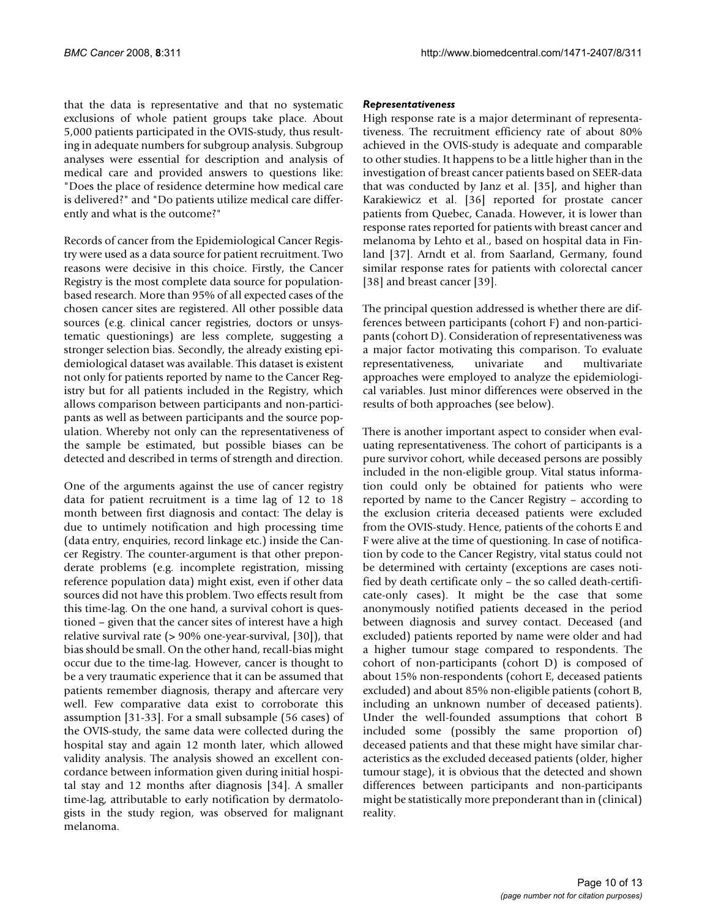that the data is representative and that no systematic exclusions of whole patient groups take place. About 5,000 patients participated in the OVIS-study, thus resulting in adequate numbers for subgroup analysis. Subgroup analyses were essential for description and analysis of medical care and provided answers to questions like: "Does the place of residence determine how medical care is delivered?" and "Do patients utilize medical care differently and what is the outcome?"

Records of cancer from the Epidemiological Cancer Registry were used as a data source for patient recruitment. Two reasons were decisive in this choice. Firstly, the Cancer Registry is the most complete data source for populationbased research. More than 95% of all expected cases of the chosen cancer sites are registered. All other possible data sources (e.g. clinical cancer registries, doctors or unsystematic questionings) are less complete, suggesting a stronger selection bias. Secondly, the already existing epidemiological dataset was available. This dataset is existent not only for patients reported by name to the Cancer Registry but for all patients included in the Registry, which allows comparison between participants and non-participants as well as between participants and the source population. Whereby not only can the representativeness of the sample be estimated, but possible biases can be detected and described in terms of strength and direction.

One of the arguments against the use of cancer registry data for patient recruitment is a time lag of 12 to 18 month between first diagnosis and contact: The delay is due to untimely notification and high processing time (data entry, enquiries, record linkage etc.) inside the Cancer Registry. The counter-argument is that other preponderate problems (e.g. incomplete registration, missing reference population data) might exist, even if other data sources did not have this problem. Two effects result from this time-lag. On the one hand, a survival cohort is questioned – given that the cancer sites of interest have a high relative survival rate (> 90% one-year-survival, [30]), that bias should be small. On the other hand, recall-bias might occur due to the time-lag. However, cancer is thought to be a very traumatic experience that it can be assumed that patients remember diagnosis, therapy and aftercare very well. Few comparative data exist to corroborate this assumption [31-33]. For a small subsample (56 cases) of the OVIS-study, the same data were collected during the hospital stay and again 12 month later, which allowed validity analysis. The analysis showed an excellent concordance between information given during initial hospital stay and 12 months after diagnosis [34]. A smaller time-lag, attributable to early notification by dermatologists in the study region, was observed for malignant melanoma.

#### *Representativeness*

High response rate is a major determinant of representativeness. The recruitment efficiency rate of about 80% achieved in the OVIS-study is adequate and comparable to other studies. It happens to be a little higher than in the investigation of breast cancer patients based on SEER-data that was conducted by Janz et al. [35], and higher than Karakiewicz et al. [36] reported for prostate cancer patients from Quebec, Canada. However, it is lower than response rates reported for patients with breast cancer and melanoma by Lehto et al., based on hospital data in Finland [37]. Arndt et al. from Saarland, Germany, found similar response rates for patients with colorectal cancer [38] and breast cancer [39].

The principal question addressed is whether there are differences between participants (cohort F) and non-participants (cohort D). Consideration of representativeness was a major factor motivating this comparison. To evaluate representativeness, univariate and multivariate approaches were employed to analyze the epidemiological variables. Just minor differences were observed in the results of both approaches (see below).

There is another important aspect to consider when evaluating representativeness. The cohort of participants is a pure survivor cohort, while deceased persons are possibly included in the non-eligible group. Vital status information could only be obtained for patients who were reported by name to the Cancer Registry – according to the exclusion criteria deceased patients were excluded from the OVIS-study. Hence, patients of the cohorts E and F were alive at the time of questioning. In case of notification by code to the Cancer Registry, vital status could not be determined with certainty (exceptions are cases notified by death certificate only – the so called death-certificate-only cases). It might be the case that some anonymously notified patients deceased in the period between diagnosis and survey contact. Deceased (and excluded) patients reported by name were older and had a higher tumour stage compared to respondents. The cohort of non-participants (cohort D) is composed of about 15% non-respondents (cohort E, deceased patients excluded) and about 85% non-eligible patients (cohort B, including an unknown number of deceased patients). Under the well-founded assumptions that cohort B included some (possibly the same proportion of) deceased patients and that these might have similar characteristics as the excluded deceased patients (older, higher tumour stage), it is obvious that the detected and shown differences between participants and non-participants might be statistically more preponderant than in (clinical) reality.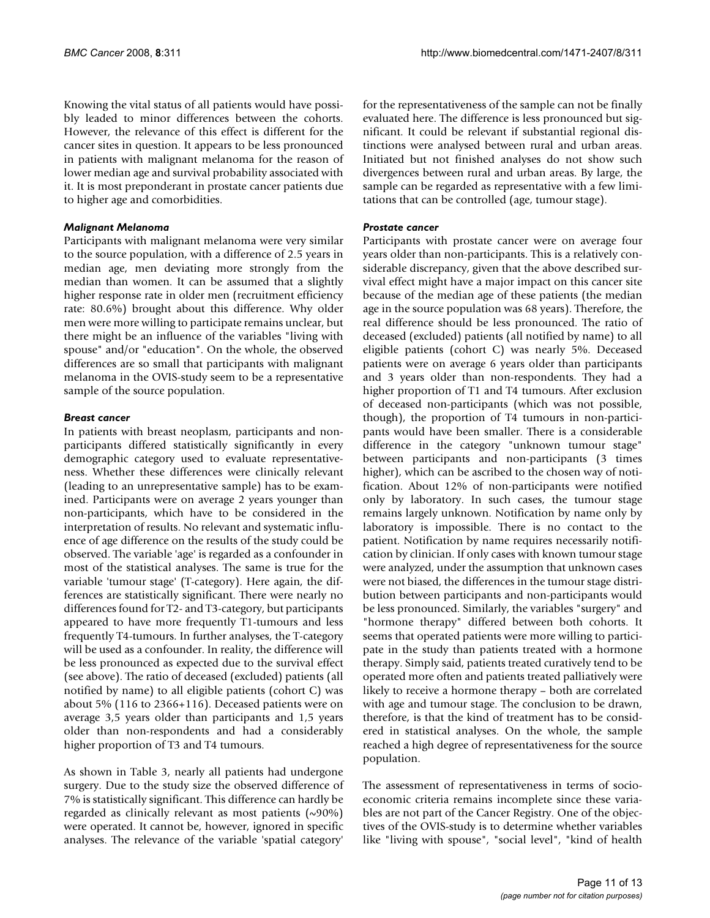Knowing the vital status of all patients would have possibly leaded to minor differences between the cohorts. However, the relevance of this effect is different for the cancer sites in question. It appears to be less pronounced in patients with malignant melanoma for the reason of lower median age and survival probability associated with it. It is most preponderant in prostate cancer patients due to higher age and comorbidities.

## *Malignant Melanoma*

Participants with malignant melanoma were very similar to the source population, with a difference of 2.5 years in median age, men deviating more strongly from the median than women. It can be assumed that a slightly higher response rate in older men (recruitment efficiency rate: 80.6%) brought about this difference. Why older men were more willing to participate remains unclear, but there might be an influence of the variables "living with spouse" and/or "education". On the whole, the observed differences are so small that participants with malignant melanoma in the OVIS-study seem to be a representative sample of the source population.

## *Breast cancer*

In patients with breast neoplasm, participants and nonparticipants differed statistically significantly in every demographic category used to evaluate representativeness. Whether these differences were clinically relevant (leading to an unrepresentative sample) has to be examined. Participants were on average 2 years younger than non-participants, which have to be considered in the interpretation of results. No relevant and systematic influence of age difference on the results of the study could be observed. The variable 'age' is regarded as a confounder in most of the statistical analyses. The same is true for the variable 'tumour stage' (T-category). Here again, the differences are statistically significant. There were nearly no differences found for T2- and T3-category, but participants appeared to have more frequently T1-tumours and less frequently T4-tumours. In further analyses, the T-category will be used as a confounder. In reality, the difference will be less pronounced as expected due to the survival effect (see above). The ratio of deceased (excluded) patients (all notified by name) to all eligible patients (cohort C) was about 5% (116 to 2366+116). Deceased patients were on average 3,5 years older than participants and 1,5 years older than non-respondents and had a considerably higher proportion of T3 and T4 tumours.

As shown in Table 3, nearly all patients had undergone surgery. Due to the study size the observed difference of 7% is statistically significant. This difference can hardly be regarded as clinically relevant as most patients  $(\sim 90\%)$ were operated. It cannot be, however, ignored in specific analyses. The relevance of the variable 'spatial category'

for the representativeness of the sample can not be finally evaluated here. The difference is less pronounced but significant. It could be relevant if substantial regional distinctions were analysed between rural and urban areas. Initiated but not finished analyses do not show such divergences between rural and urban areas. By large, the sample can be regarded as representative with a few limitations that can be controlled (age, tumour stage).

# *Prostate cancer*

Participants with prostate cancer were on average four years older than non-participants. This is a relatively considerable discrepancy, given that the above described survival effect might have a major impact on this cancer site because of the median age of these patients (the median age in the source population was 68 years). Therefore, the real difference should be less pronounced. The ratio of deceased (excluded) patients (all notified by name) to all eligible patients (cohort C) was nearly 5%. Deceased patients were on average 6 years older than participants and 3 years older than non-respondents. They had a higher proportion of T1 and T4 tumours. After exclusion of deceased non-participants (which was not possible, though), the proportion of T4 tumours in non-participants would have been smaller. There is a considerable difference in the category "unknown tumour stage" between participants and non-participants (3 times higher), which can be ascribed to the chosen way of notification. About 12% of non-participants were notified only by laboratory. In such cases, the tumour stage remains largely unknown. Notification by name only by laboratory is impossible. There is no contact to the patient. Notification by name requires necessarily notification by clinician. If only cases with known tumour stage were analyzed, under the assumption that unknown cases were not biased, the differences in the tumour stage distribution between participants and non-participants would be less pronounced. Similarly, the variables "surgery" and "hormone therapy" differed between both cohorts. It seems that operated patients were more willing to participate in the study than patients treated with a hormone therapy. Simply said, patients treated curatively tend to be operated more often and patients treated palliatively were likely to receive a hormone therapy – both are correlated with age and tumour stage. The conclusion to be drawn, therefore, is that the kind of treatment has to be considered in statistical analyses. On the whole, the sample reached a high degree of representativeness for the source population.

The assessment of representativeness in terms of socioeconomic criteria remains incomplete since these variables are not part of the Cancer Registry. One of the objectives of the OVIS-study is to determine whether variables like "living with spouse", "social level", "kind of health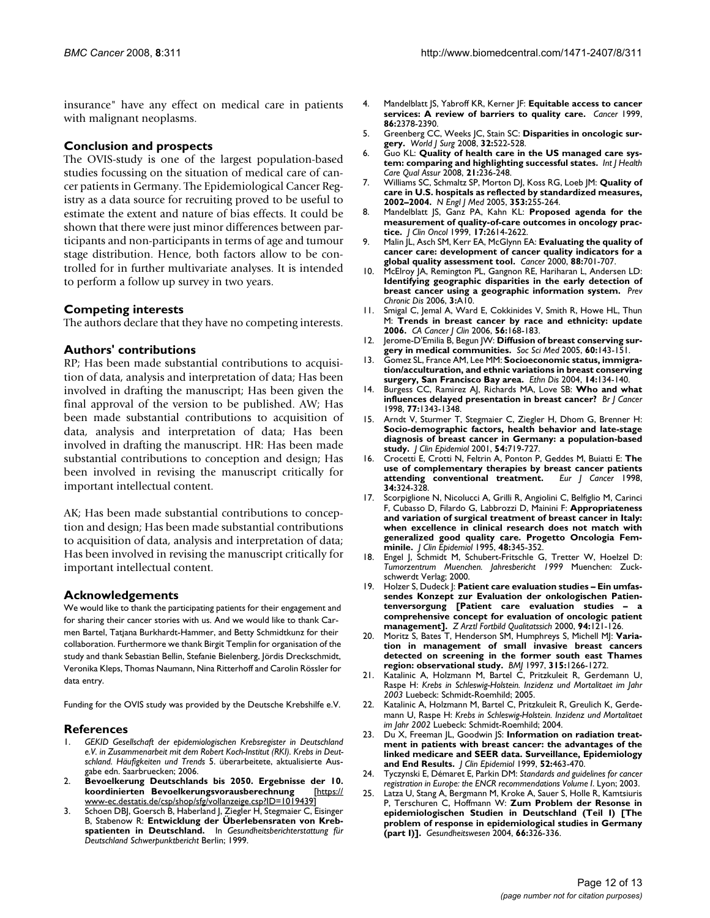insurance" have any effect on medical care in patients with malignant neoplasms.

#### **Conclusion and prospects**

The OVIS-study is one of the largest population-based studies focussing on the situation of medical care of cancer patients in Germany. The Epidemiological Cancer Registry as a data source for recruiting proved to be useful to estimate the extent and nature of bias effects. It could be shown that there were just minor differences between participants and non-participants in terms of age and tumour stage distribution. Hence, both factors allow to be controlled for in further multivariate analyses. It is intended to perform a follow up survey in two years.

#### **Competing interests**

The authors declare that they have no competing interests.

#### **Authors' contributions**

RP; Has been made substantial contributions to acquisition of data, analysis and interpretation of data; Has been involved in drafting the manuscript; Has been given the final approval of the version to be published. AW; Has been made substantial contributions to acquisition of data, analysis and interpretation of data; Has been involved in drafting the manuscript. HR: Has been made substantial contributions to conception and design; Has been involved in revising the manuscript critically for important intellectual content.

AK; Has been made substantial contributions to conception and design; Has been made substantial contributions to acquisition of data, analysis and interpretation of data; Has been involved in revising the manuscript critically for important intellectual content.

#### **Acknowledgements**

We would like to thank the participating patients for their engagement and for sharing their cancer stories with us. And we would like to thank Carmen Bartel, Tatjana Burkhardt-Hammer, and Betty Schmidtkunz for their collaboration. Furthermore we thank Birgit Templin for organisation of the study and thank Sebastian Bellin, Stefanie Bielenberg, Jördis Dreckschmidt, Veronika Kleps, Thomas Naumann, Nina Ritterhoff and Carolin Rössler for data entry.

Funding for the OVIS study was provided by the Deutsche Krebshilfe e.V.

#### **References**

- 1. *GEKID Gesellschaft der epidemiologischen Krebsregister in Deutschland e.V. in Zusammenarbeit mit dem Robert Koch-Institut (RKI). Krebs in Deutschland. Häufigkeiten und Trends* 5. überarbeitete, aktualisierte Ausgabe edn. Saarbruecken; 2006.
- 2. **Bevoelkerung Deutschlands bis 2050. Ergebnisse der 10. koordinierten Bevoelkerungsvorausberechnung** [\[https://](https://www-ec.destatis.de/csp/shop/sfg/vollanzeige.csp?ID=1019439) [www-ec.destatis.de/csp/shop/sfg/vollanzeige.csp?ID=1019439](https://www-ec.destatis.de/csp/shop/sfg/vollanzeige.csp?ID=1019439)]
- Schoen DBJ, Goersch B, Haberland J, Ziegler H, Stegmaier C, Eisinger B, Stabenow R: **Entwicklung der Überlebensraten von Krebspatienten in Deutschland.** In *Gesundheitsberichterstattung für Deutschland Schwerpunktbericht* Berlin; 1999.
- 4. Mandelblatt JS, Yabroff KR, Kerner JF: **[Equitable access to cancer](http://www.ncbi.nlm.nih.gov/entrez/query.fcgi?cmd=Retrieve&db=PubMed&dopt=Abstract&list_uids=10590381) [services: A review of barriers to quality care.](http://www.ncbi.nlm.nih.gov/entrez/query.fcgi?cmd=Retrieve&db=PubMed&dopt=Abstract&list_uids=10590381)** *Cancer* 1999, **86:**2378-2390.
- 5. Greenberg CC, Weeks JC, Stain SC: **[Disparities in oncologic sur](http://www.ncbi.nlm.nih.gov/entrez/query.fcgi?cmd=Retrieve&db=PubMed&dopt=Abstract&list_uids=18197450)[gery.](http://www.ncbi.nlm.nih.gov/entrez/query.fcgi?cmd=Retrieve&db=PubMed&dopt=Abstract&list_uids=18197450)** *World J Surg* 2008, **32:**522-528.
- 6. Guo KL: **[Quality of health care in the US managed care sys](http://www.ncbi.nlm.nih.gov/entrez/query.fcgi?cmd=Retrieve&db=PubMed&dopt=Abstract&list_uids=18578210)[tem: comparing and highlighting successful states.](http://www.ncbi.nlm.nih.gov/entrez/query.fcgi?cmd=Retrieve&db=PubMed&dopt=Abstract&list_uids=18578210)** *Int J Health Care Qual Assur* 2008, **21:**236-248.
- 7. Williams SC, Schmaltz SP, Morton DJ, Koss RG, Loeb JM: **[Quality of](http://www.ncbi.nlm.nih.gov/entrez/query.fcgi?cmd=Retrieve&db=PubMed&dopt=Abstract&list_uids=16034011) [care in U.S. hospitals as reflected by standardized measures,](http://www.ncbi.nlm.nih.gov/entrez/query.fcgi?cmd=Retrieve&db=PubMed&dopt=Abstract&list_uids=16034011) [2002–2004.](http://www.ncbi.nlm.nih.gov/entrez/query.fcgi?cmd=Retrieve&db=PubMed&dopt=Abstract&list_uids=16034011)** *N Engl J Med* 2005, **353:**255-264.
- 8. Mandelblatt JS, Ganz PA, Kahn KL: **[Proposed agenda for the](http://www.ncbi.nlm.nih.gov/entrez/query.fcgi?cmd=Retrieve&db=PubMed&dopt=Abstract&list_uids=10561329) [measurement of quality-of-care outcomes in oncology prac](http://www.ncbi.nlm.nih.gov/entrez/query.fcgi?cmd=Retrieve&db=PubMed&dopt=Abstract&list_uids=10561329)[tice.](http://www.ncbi.nlm.nih.gov/entrez/query.fcgi?cmd=Retrieve&db=PubMed&dopt=Abstract&list_uids=10561329)** *J Clin Oncol* 1999, **17:**2614-2622.
- 9. Malin JL, Asch SM, Kerr EA, McGlynn EA: **[Evaluating the quality of](http://www.ncbi.nlm.nih.gov/entrez/query.fcgi?cmd=Retrieve&db=PubMed&dopt=Abstract&list_uids=10649266) [cancer care: development of cancer quality indicators for a](http://www.ncbi.nlm.nih.gov/entrez/query.fcgi?cmd=Retrieve&db=PubMed&dopt=Abstract&list_uids=10649266) [global quality assessment tool.](http://www.ncbi.nlm.nih.gov/entrez/query.fcgi?cmd=Retrieve&db=PubMed&dopt=Abstract&list_uids=10649266)** *Cancer* 2000, **88:**701-707.
- 10. McElroy JA, Remington PL, Gangnon RE, Hariharan L, Andersen LD: **[Identifying geographic disparities in the early detection of](http://www.ncbi.nlm.nih.gov/entrez/query.fcgi?cmd=Retrieve&db=PubMed&dopt=Abstract&list_uids=16356363) [breast cancer using a geographic information system.](http://www.ncbi.nlm.nih.gov/entrez/query.fcgi?cmd=Retrieve&db=PubMed&dopt=Abstract&list_uids=16356363)** *Prev Chronic Dis* 2006, **3:**A10.
- 11. Smigal C, Jemal A, Ward E, Cokkinides V, Smith R, Howe HL, Thun M: **[Trends in breast cancer by race and ethnicity: update](http://www.ncbi.nlm.nih.gov/entrez/query.fcgi?cmd=Retrieve&db=PubMed&dopt=Abstract&list_uids=16737949) [2006.](http://www.ncbi.nlm.nih.gov/entrez/query.fcgi?cmd=Retrieve&db=PubMed&dopt=Abstract&list_uids=16737949)** *CA Cancer J Clin* 2006, **56:**168-183.
- 12. Jerome-D'Emilia B, Begun JW: **[Diffusion of breast conserving sur](http://www.ncbi.nlm.nih.gov/entrez/query.fcgi?cmd=Retrieve&db=PubMed&dopt=Abstract&list_uids=15482874)[gery in medical communities.](http://www.ncbi.nlm.nih.gov/entrez/query.fcgi?cmd=Retrieve&db=PubMed&dopt=Abstract&list_uids=15482874)** *Soc Sci Med* 2005, **60:**143-151.
- 13. Gomez SL, France AM, Lee MM: **[Socioeconomic status, immigra](http://www.ncbi.nlm.nih.gov/entrez/query.fcgi?cmd=Retrieve&db=PubMed&dopt=Abstract&list_uids=15002933)[tion/acculturation, and ethnic variations in breast conserving](http://www.ncbi.nlm.nih.gov/entrez/query.fcgi?cmd=Retrieve&db=PubMed&dopt=Abstract&list_uids=15002933) [surgery, San Francisco Bay area.](http://www.ncbi.nlm.nih.gov/entrez/query.fcgi?cmd=Retrieve&db=PubMed&dopt=Abstract&list_uids=15002933)** *Ethn Dis* 2004, **14:**134-140.
- 14. Burgess CC, Ramirez AJ, Richards MA, Love SB: **[Who and what](http://www.ncbi.nlm.nih.gov/entrez/query.fcgi?cmd=Retrieve&db=PubMed&dopt=Abstract&list_uids=9579844) [influences delayed presentation in breast cancer?](http://www.ncbi.nlm.nih.gov/entrez/query.fcgi?cmd=Retrieve&db=PubMed&dopt=Abstract&list_uids=9579844)** *Br J Cancer* 1998, **77:**1343-1348.
- 15. Arndt V, Sturmer T, Stegmaier C, Ziegler H, Dhom G, Brenner H: **[Socio-demographic factors, health behavior and late-stage](http://www.ncbi.nlm.nih.gov/entrez/query.fcgi?cmd=Retrieve&db=PubMed&dopt=Abstract&list_uids=11438413) diagnosis of breast cancer in Germany: a population-based [study.](http://www.ncbi.nlm.nih.gov/entrez/query.fcgi?cmd=Retrieve&db=PubMed&dopt=Abstract&list_uids=11438413)** *J Clin Epidemiol* 2001, **54:**719-727.
- 16. Crocetti E, Crotti N, Feltrin A, Ponton P, Geddes M, Buiatti E: **[The](http://www.ncbi.nlm.nih.gov/entrez/query.fcgi?cmd=Retrieve&db=PubMed&dopt=Abstract&list_uids=9640216) [use of complementary therapies by breast cancer patients](http://www.ncbi.nlm.nih.gov/entrez/query.fcgi?cmd=Retrieve&db=PubMed&dopt=Abstract&list_uids=9640216) [attending conventional treatment.](http://www.ncbi.nlm.nih.gov/entrez/query.fcgi?cmd=Retrieve&db=PubMed&dopt=Abstract&list_uids=9640216)** *Eur J Cancer* 1998, **34:**324-328.
- 17. Scorpiglione N, Nicolucci A, Grilli R, Angiolini C, Belfiglio M, Carinci F, Cubasso D, Filardo G, Labbrozzi D, Mainini F: **[Appropriateness](http://www.ncbi.nlm.nih.gov/entrez/query.fcgi?cmd=Retrieve&db=PubMed&dopt=Abstract&list_uids=7897456) [and variation of surgical treatment of breast cancer in Italy:](http://www.ncbi.nlm.nih.gov/entrez/query.fcgi?cmd=Retrieve&db=PubMed&dopt=Abstract&list_uids=7897456) when excellence in clinical research does not match with generalized good quality care. Progetto Oncologia Fem[minile.](http://www.ncbi.nlm.nih.gov/entrez/query.fcgi?cmd=Retrieve&db=PubMed&dopt=Abstract&list_uids=7897456)** *J Clin Epidemiol* 1995, **48:**345-352.
- 18. Engel J, Schmidt M, Schubert-Fritschle G, Tretter W, Hoelzel D: *Tumorzentrum Muenchen. Jahresbericht 1999* Muenchen: Zuckschwerdt Verlag; 2000.
- 19. Holzer S, Dudeck J: **[Patient care evaluation studies Ein umfas](http://www.ncbi.nlm.nih.gov/entrez/query.fcgi?cmd=Retrieve&db=PubMed&dopt=Abstract&list_uids=10782507)[sendes Konzept zur Evaluation der onkologischen Patien](http://www.ncbi.nlm.nih.gov/entrez/query.fcgi?cmd=Retrieve&db=PubMed&dopt=Abstract&list_uids=10782507)tenversorgung [Patient care evaluation studies – a comprehensive concept for evaluation of oncologic patient [management\].](http://www.ncbi.nlm.nih.gov/entrez/query.fcgi?cmd=Retrieve&db=PubMed&dopt=Abstract&list_uids=10782507)** *Z Arztl Fortbild Qualitatssich* 2000, **94:**121-126.
- 20. Moritz S, Bates T, Henderson SM, Humphreys S, Michell MJ: **[Varia](http://www.ncbi.nlm.nih.gov/entrez/query.fcgi?cmd=Retrieve&db=PubMed&dopt=Abstract&list_uids=9390053)[tion in management of small invasive breast cancers](http://www.ncbi.nlm.nih.gov/entrez/query.fcgi?cmd=Retrieve&db=PubMed&dopt=Abstract&list_uids=9390053) detected on screening in the former south east Thames [region: observational study.](http://www.ncbi.nlm.nih.gov/entrez/query.fcgi?cmd=Retrieve&db=PubMed&dopt=Abstract&list_uids=9390053)** *BMJ* 1997, **315:**1266-1272.
- 21. Katalinic A, Holzmann M, Bartel C, Pritzkuleit R, Gerdemann U, Raspe H: *Krebs in Schleswig-Holstein. Inzidenz und Mortalitaet im Jahr 2003* Luebeck: Schmidt-Roemhild; 2005.
- 22. Katalinic A, Holzmann M, Bartel C, Pritzkuleit R, Greulich K, Gerdemann U, Raspe H: *Krebs in Schleswig-Holstein. Inzidenz und Mortalitaet im Jahr 2002* Luebeck: Schmidt-Roemhild; 2004.
- 23. Du X, Freeman | L, Goodwin | S: [Information on radiation treat](http://www.ncbi.nlm.nih.gov/entrez/query.fcgi?cmd=Retrieve&db=PubMed&dopt=Abstract&list_uids=10360342)**[ment in patients with breast cancer: the advantages of the](http://www.ncbi.nlm.nih.gov/entrez/query.fcgi?cmd=Retrieve&db=PubMed&dopt=Abstract&list_uids=10360342) linked medicare and SEER data. Surveillance, Epidemiology [and End Results.](http://www.ncbi.nlm.nih.gov/entrez/query.fcgi?cmd=Retrieve&db=PubMed&dopt=Abstract&list_uids=10360342)** *J Clin Epidemiol* 1999, **52:**463-470.
- 24. Tyczynski E, Démaret E, Parkin DM: *Standards and guidelines for cancer registration in Europe: the ENCR recommendations Volume I*. Lyon; 2003.
- 25. Latza U, Stang A, Bergmann M, Kroke A, Sauer S, Holle R, Kamtsiuris P, Terschuren C, Hoffmann W: **[Zum Problem der Resonse in](http://www.ncbi.nlm.nih.gov/entrez/query.fcgi?cmd=Retrieve&db=PubMed&dopt=Abstract&list_uids=15141353) [epidemiologischen Studien in Deutschland \(Teil I\) \[The](http://www.ncbi.nlm.nih.gov/entrez/query.fcgi?cmd=Retrieve&db=PubMed&dopt=Abstract&list_uids=15141353) problem of response in epidemiological studies in Germany [\(part I\)\].](http://www.ncbi.nlm.nih.gov/entrez/query.fcgi?cmd=Retrieve&db=PubMed&dopt=Abstract&list_uids=15141353)** *Gesundheitswesen* 2004, **66:**326-336.